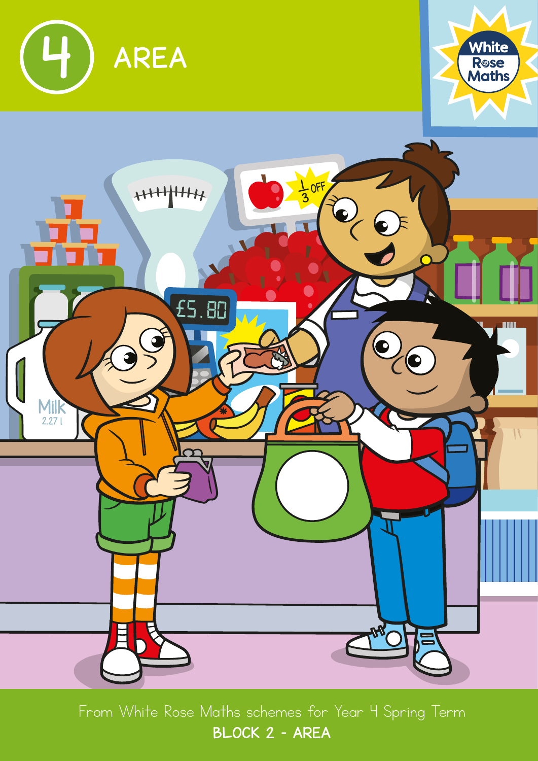

From White Rose Maths schemes for Year 4 Spring Term BLOCK 2 - AREA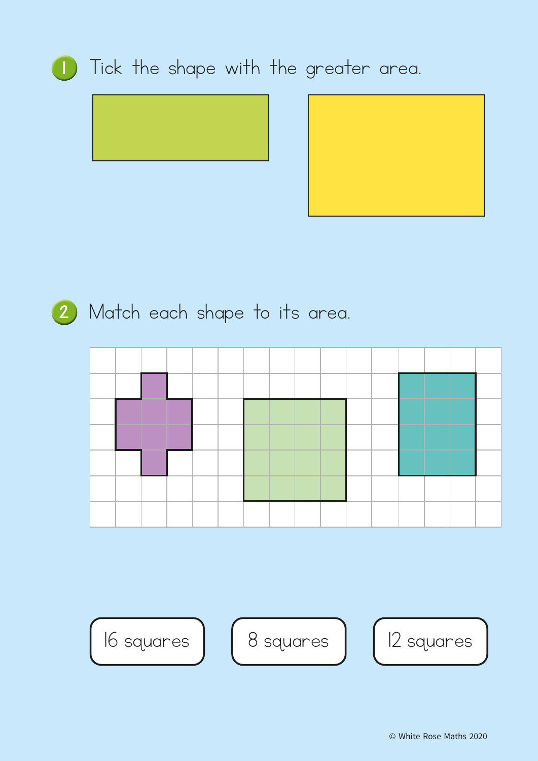

**1** Tick the shape with the greater area.



2) Match each shape to its area.



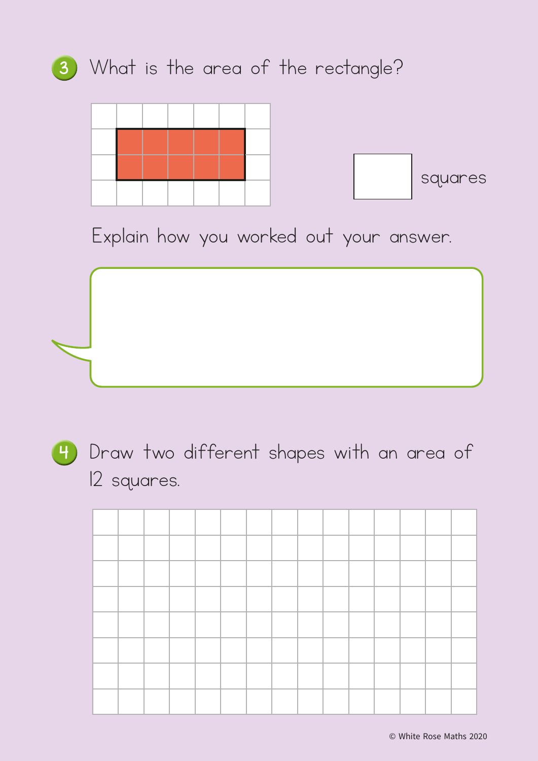



<sup>4</sup> Draw two different shapes with an area of 12 squares.

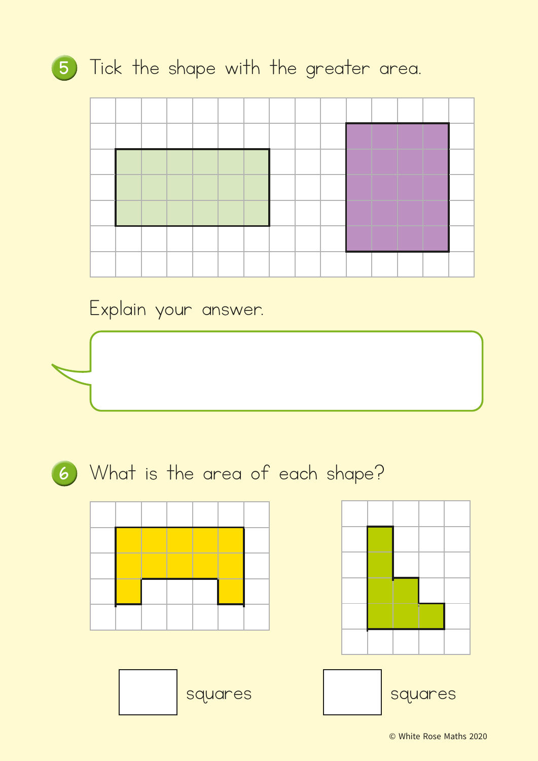







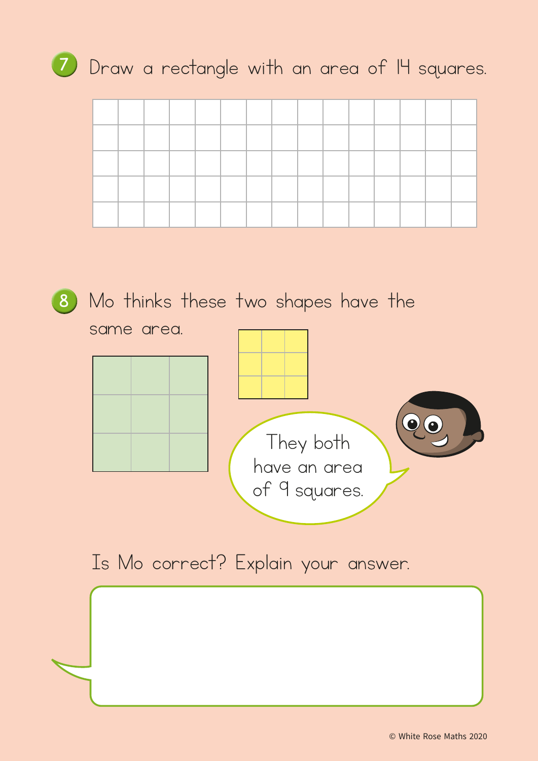





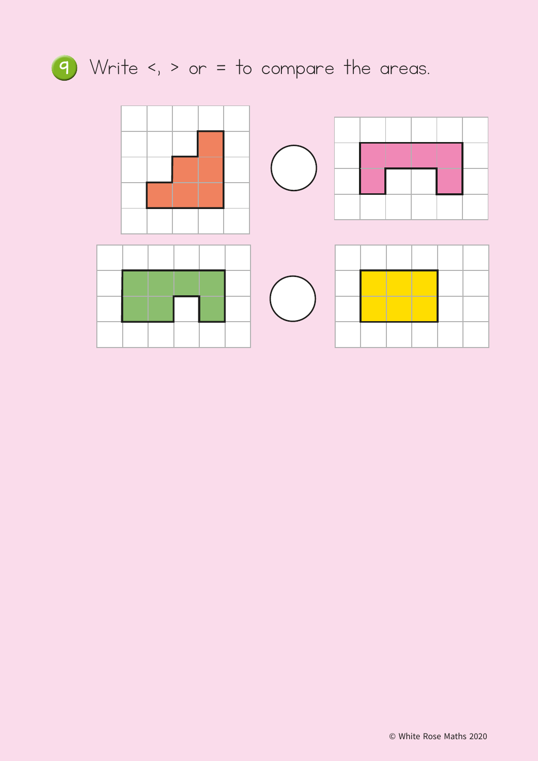

<sup>9</sup> Write <, > or = to compare the areas.

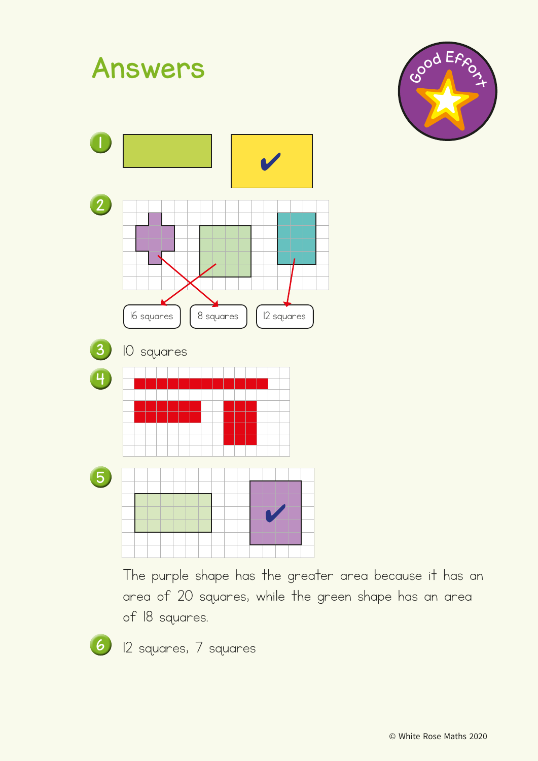

God EFFO

The purple shape has the greater area because it has an area of 20 squares, while the green shape has an area of 18 squares.

6 12 squares, 7 squares